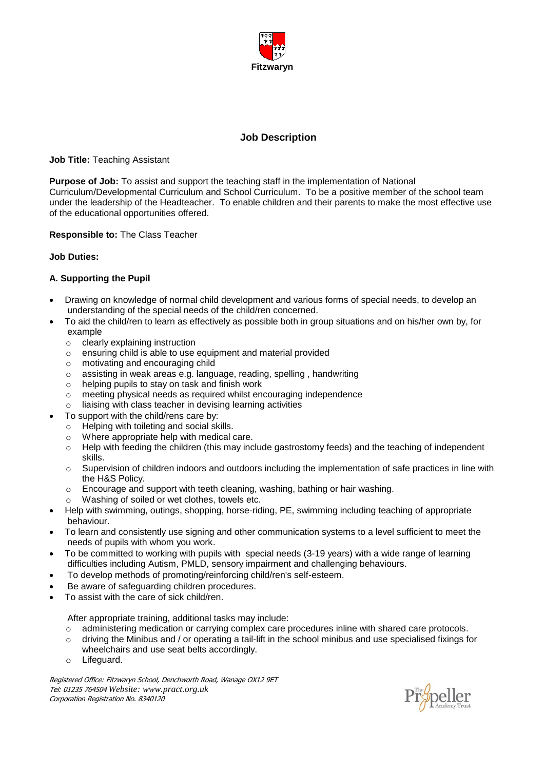

# **Job Description**

#### **Job Title:** Teaching Assistant

**Purpose of Job:** To assist and support the teaching staff in the implementation of National Curriculum/Developmental Curriculum and School Curriculum. To be a positive member of the school team under the leadership of the Headteacher. To enable children and their parents to make the most effective use of the educational opportunities offered.

### **Responsible to:** The Class Teacher

#### **Job Duties:**

## **A. Supporting the Pupil**

- Drawing on knowledge of normal child development and various forms of special needs, to develop an understanding of the special needs of the child/ren concerned.
- To aid the child/ren to learn as effectively as possible both in group situations and on his/her own by, for example
	- o clearly explaining instruction
	- o ensuring child is able to use equipment and material provided
	- o motivating and encouraging child
	- o assisting in weak areas e.g. language, reading, spelling , handwriting
	- o helping pupils to stay on task and finish work
	- o meeting physical needs as required whilst encouraging independence
	- o liaising with class teacher in devising learning activities
- To support with the child/rens care by:
	- o Helping with toileting and social skills.
	- o Where appropriate help with medical care.
	- $\circ$  Help with feeding the children (this may include gastrostomy feeds) and the teaching of independent skills.
	- $\circ$  Supervision of children indoors and outdoors including the implementation of safe practices in line with the H&S Policy.
	- $\circ$  Encourage and support with teeth cleaning, washing, bathing or hair washing.
	- o Washing of soiled or wet clothes, towels etc.
- Help with swimming, outings, shopping, horse-riding, PE, swimming including teaching of appropriate behaviour.
- To learn and consistently use signing and other communication systems to a level sufficient to meet the needs of pupils with whom you work.
- To be committed to working with pupils with special needs (3-19 years) with a wide range of learning difficulties including Autism, PMLD, sensory impairment and challenging behaviours.
- To develop methods of promoting/reinforcing child/ren's self-esteem.
- Be aware of safeguarding children procedures.
- To assist with the care of sick child/ren.

After appropriate training, additional tasks may include:

- o administering medication or carrying complex care procedures inline with shared care protocols.
- $\circ$  driving the Minibus and / or operating a tail-lift in the school minibus and use specialised fixings for wheelchairs and use seat belts accordingly.
- o Lifeguard.

Registered Office: Fitzwaryn School, Denchworth Road, Wanage OX12 9ET Tel: 01235 764504 *Website: www.pract.org.uk* Corporation Registration No. 8340120